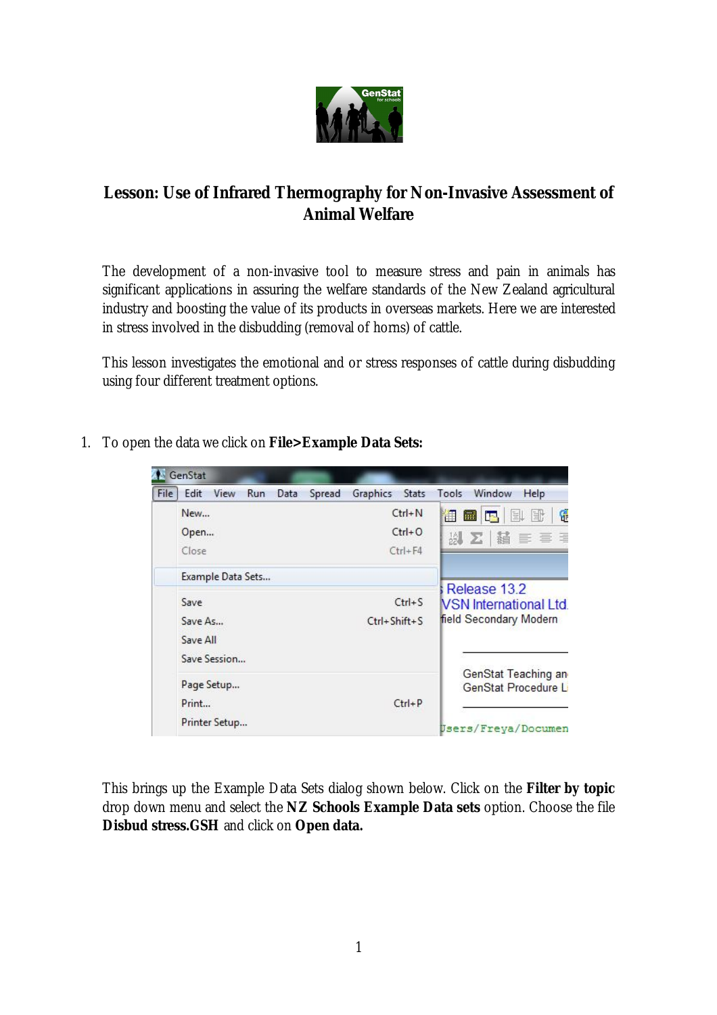

# **Lesson: Use of Infrared Thermography for Non-Invasive Assessment of Animal Welfare**

The development of a non-invasive tool to measure stress and pain in animals has significant applications in assuring the welfare standards of the New Zealand agricultural industry and boosting the value of its products in overseas markets. Here we are interested in stress involved in the disbudding (removal of horns) of cattle.

This lesson investigates the emotional and or stress responses of cattle during disbudding using four different treatment options.

| GenStat       |                   |      |        |          |                    |       |                                               |
|---------------|-------------------|------|--------|----------|--------------------|-------|-----------------------------------------------|
| File<br>Edit  | View<br>Run       | Data | Spread | Graphics | <b>Stats</b>       | Tools | Window<br>Help                                |
| New           |                   |      |        |          | $Ctrl + N$         | 律 量   | ۴<br>国具<br>IF.                                |
| Open          |                   |      |        |          | $Ctrl + O$         |       | 以 Σ   橘 ≣ ≣ ≣                                 |
| Close         |                   |      |        |          | $Ctrl + F4$        |       |                                               |
|               | Example Data Sets |      |        |          |                    |       |                                               |
| Save          |                   |      |        |          | $Ctrl + S$         |       | Release 13.2<br><b>NSN International Ltd.</b> |
| Save As       |                   |      |        |          | $Ctrl + Shift + S$ |       | field Secondary Modern                        |
| Save All      |                   |      |        |          |                    |       |                                               |
| Save Session  |                   |      |        |          |                    |       |                                               |
| Page Setup    |                   |      |        |          |                    |       | GenStat Teaching an<br>GenStat Procedure L    |
| Print         |                   |      |        |          | $Ctrl + P$         |       |                                               |
| Printer Setup |                   |      |        |          |                    |       | Users/Freya/Documen                           |

1. To open the data we click on **File>Example Data Sets:**

This brings up the Example Data Sets dialog shown below. Click on the **Filter by topic**  drop down menu and select the **NZ Schools Example Data sets** option. Choose the file **Disbud stress.GSH** and click on **Open data.**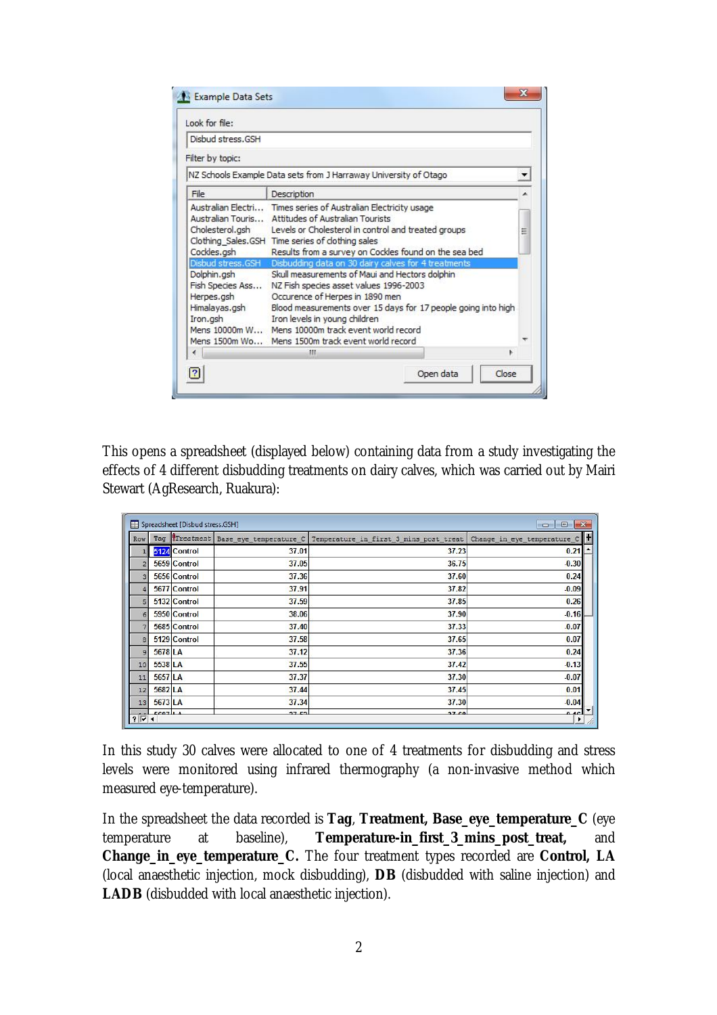| Look for file:                                                                                  |                                                                                                                                                                                                                                                                                                                                                                                                      |   |
|-------------------------------------------------------------------------------------------------|------------------------------------------------------------------------------------------------------------------------------------------------------------------------------------------------------------------------------------------------------------------------------------------------------------------------------------------------------------------------------------------------------|---|
| Disbud stress.GSH                                                                               |                                                                                                                                                                                                                                                                                                                                                                                                      |   |
| Filter by topic:                                                                                |                                                                                                                                                                                                                                                                                                                                                                                                      |   |
|                                                                                                 | NZ Schools Example Data sets from J Harraway University of Otago                                                                                                                                                                                                                                                                                                                                     |   |
| File                                                                                            | Description                                                                                                                                                                                                                                                                                                                                                                                          |   |
| Australian Touris<br>Cholesterol.gsh<br>Cockles.gsh                                             | Australian Electri Times series of Australian Electricity usage<br>Attitudes of Australian Tourists<br>Levels or Cholesterol in control and treated groups<br>Clothing Sales.GSH Time series of clothing sales<br>Results from a survey on Cockles found on the sea bed                                                                                                                              | Ξ |
| Disbud stress.GSH<br>Dolphin.gsh<br>Fish Species Ass<br>Herpes.gsh<br>Himalayas.gsh<br>Iron.gsh | Disbudding data on 30 dairy calves for 4 treatments<br>Skull measurements of Maui and Hectors dolphin<br>NZ Fish species asset values 1996-2003<br>Occurence of Herpes in 1890 men<br>Blood measurements over 15 days for 17 people going into high<br>Iron levels in young children<br>Mens 10000m W Mens 10000m track event world record<br>Mens 1500m Wo Mens 1500m track event world record<br>ш | ۰ |

This opens a spreadsheet (displayed below) containing data from a study investigating the effects of 4 different disbudding treatments on dairy calves, which was carried out by Mairi Stewart (AgResearch, Ruakura):

| Spreadsheet [Disbud stress.GSH]<br>$\mathbb{R}$<br>$\Box$<br>o |         |               |                        |                                        |                                        |
|----------------------------------------------------------------|---------|---------------|------------------------|----------------------------------------|----------------------------------------|
| Row                                                            |         | Tag Treatment | Base eye temperature C | Temperature in first 3 mins post treat | Change in eye temperature              |
|                                                                |         | 5124 Control  | 37.01                  | 37.23                                  | 0.21                                   |
| $\overline{2}$                                                 |         | 5659 Control  | 37.05                  | 36.75                                  | $-0.30$                                |
| 3                                                              |         | 5656 Control  | 37.36                  | 37.60                                  | 0.24                                   |
|                                                                |         | 5677 Control  | 37.91                  | 37.82                                  | $-0.09$                                |
|                                                                |         | 5132 Control  | 37.59                  | 37.85                                  | 0.26                                   |
| $\epsilon$                                                     |         | 5950 Control  | 38.06                  | 37.90                                  | $-0.16$                                |
|                                                                |         | 5685 Control  | 37.40                  | 37.33                                  | $-0.07$                                |
| $\mathbf{a}$                                                   |         | 5129 Control  | 37.58                  | 37.65                                  | 0.07                                   |
| $\overline{9}$                                                 | 5678 LA |               | 37.12                  | 37,36                                  | 0.24                                   |
| 10                                                             | 5538 LA |               | 37.55                  | 37.42                                  | $-0.13$                                |
| 11                                                             | 5657 LA |               | 37.37                  | 37.30                                  | $-0.07$                                |
| 12                                                             | 5682 LA |               | 37.44                  | 37.45                                  | 0.01                                   |
| 13                                                             | 5673 LA |               | 37.34                  | 37.30                                  | $-0.04$                                |
| $2\sqrt{4}$                                                    | F0071A  |               | 27E2                   | 27C <sub>0</sub>                       | $\overline{\phantom{a}}$<br>0.4c<br>▸∣ |

In this study 30 calves were allocated to one of 4 treatments for disbudding and stress levels were monitored using infrared thermography (a non-invasive method which measured eye-temperature).

In the spreadsheet the data recorded is **Tag**, **Treatment, Base\_eye\_temperature\_C** (eye temperature at baseline), **Temperature-in\_first\_3\_mins\_post\_treat,** and **Change\_in\_eye\_temperature\_C.** The four treatment types recorded are **Control, LA**  (local anaesthetic injection, mock disbudding), **DB** (disbudded with saline injection) and **LADB** (disbudded with local anaesthetic injection).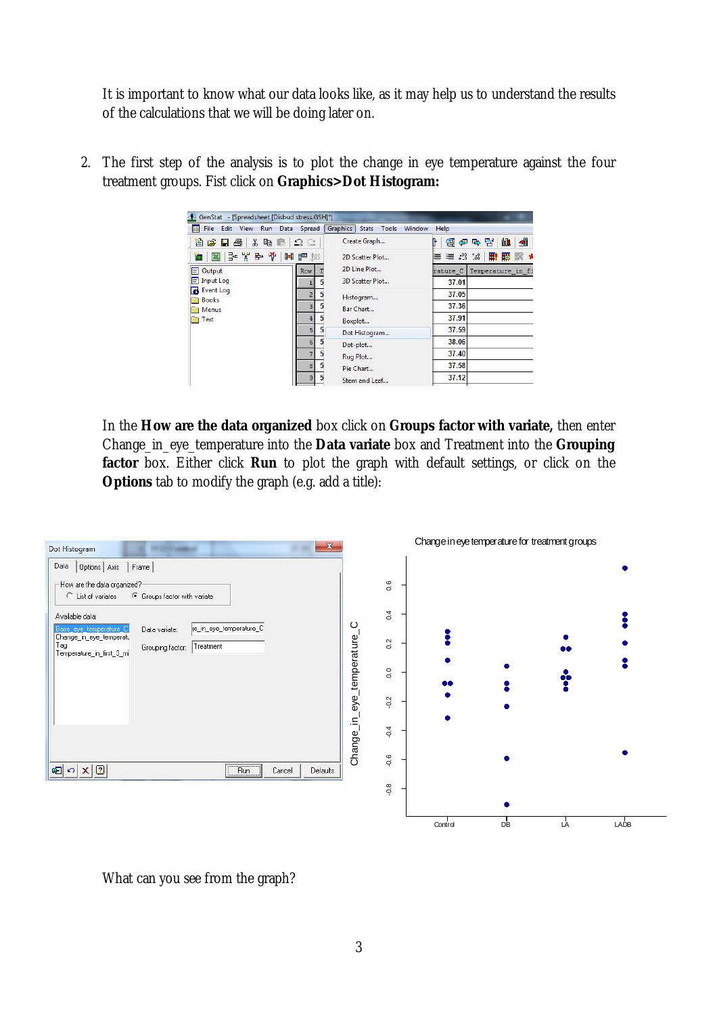It is important to know what our data looks like, as it may help us to understand the results of the calculations that we will be doing later on.

| File Edit View<br>Run         | Spread<br>Data     | Graphics<br><b>Stats</b> | Tools<br>Window | Help                                            |                   |                                  |
|-------------------------------|--------------------|--------------------------|-----------------|-------------------------------------------------|-------------------|----------------------------------|
| 省后日<br>Ж<br><b>th</b> C<br>a, | $\Omega \subseteq$ | Create Graph             |                 |                                                 | 图伊马普              | $\blacktriangleleft$<br><b>M</b> |
| - 米野堂<br>E<br>画               |                    | 2D Scatter Plot          |                 | $\equiv$ $\equiv$ $\frac{10}{2}$ $\frac{10}{2}$ |                   | 用腰服                              |
| Output<br>⋿                   | <b>Row</b>         | 2D Line Plot             |                 | rature C                                        | Temperature in fi |                                  |
| Input Log                     |                    | 3D Scatter Plot          |                 | 37.01                                           |                   |                                  |
| Event Log                     |                    | Histogram                |                 | 37.05                                           |                   |                                  |
| <b>Books</b><br>Menus         |                    | Bar Chart                |                 | 37.36                                           |                   |                                  |
| Text                          |                    | Boxplot                  |                 | 37.91                                           |                   |                                  |
|                               | 5                  | Dot Histogram            |                 | 37.59                                           |                   |                                  |
|                               | 6                  | Dot-plot                 |                 | 38.06                                           |                   |                                  |
|                               |                    | Rug Plot                 |                 | 37.40                                           |                   |                                  |
|                               | 8                  | Pie Chart                |                 | 37.58                                           |                   |                                  |
|                               | ٩                  | Stem and Leaf            |                 | 37.12                                           |                   |                                  |

2. The first step of the analysis is to plot the change in eye temperature against the four treatment groups. Fist click on **Graphics>Dot Histogram:**

In the **How are the data organized** box click on **Groups factor with variate,** then enter Change\_in\_eye\_temperature into the **Data variate** box and Treatment into the **Grouping factor** box. Either click **Run** to plot the graph with default settings, or click on the **Options** tab to modify the graph (e.g. add a title):



What can you see from the graph?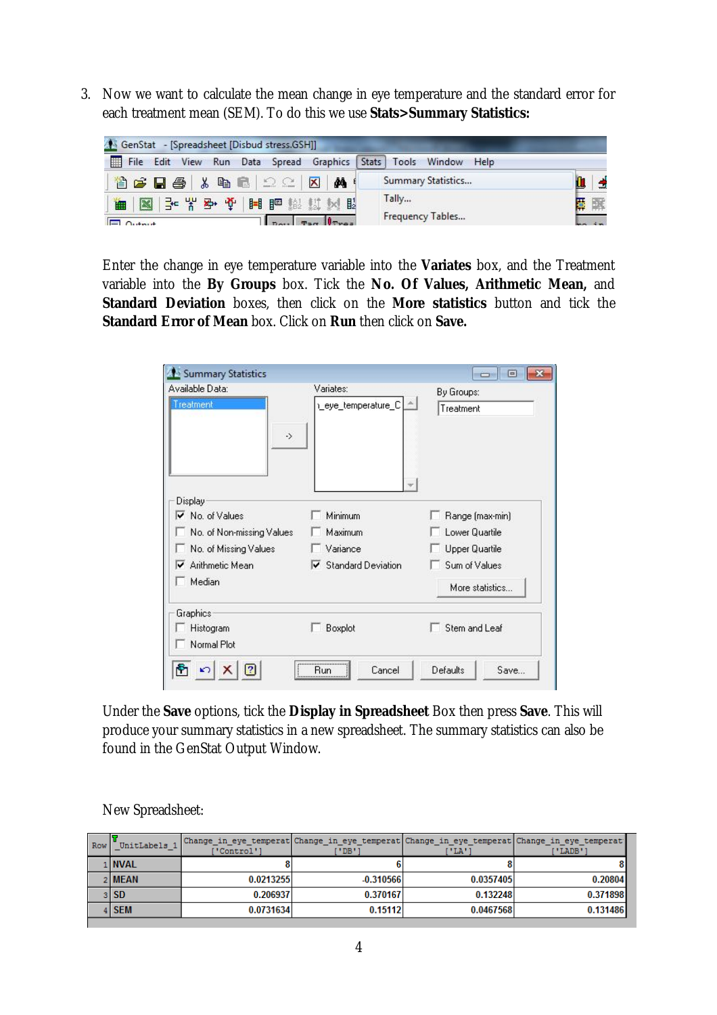3. Now we want to calculate the mean change in eye temperature and the standard error for each treatment mean (SEM). To do this we use **Stats>Summary Statistics:** 



Enter the change in eye temperature variable into the **Variates** box, and the Treatment variable into the **By Groups** box. Tick the **No. Of Values, Arithmetic Mean,** and **Standard Deviation** boxes, then click on the **More statistics** button and tick the **Standard Error of Mean** box. Click on **Run** then click on **Save.**

| Summary Statistics                                                            |                                 | $\Box$                            |
|-------------------------------------------------------------------------------|---------------------------------|-----------------------------------|
| Available Data:<br>Treatment<br>$\rightarrow$                                 | Variates:<br>Leye_temperature_C | By Groups:<br>Treatment           |
| Display<br>$\overline{\mathbf{v}}$ No. of Values<br>No. of Non-missing Values | Minimum<br>Maximum              | Range (max-min)<br>Lower Quartile |
| No. of Missing Values                                                         | Variance                        | Upper Quartile                    |
| Arithmetic Mean<br>Median                                                     | $\nabla$ Standard Deviation     | Sum of Values<br>More statistics  |
| Graphics:<br>Histogram                                                        | Boxplot                         | Stem and Leaf                     |
| Normal Plot                                                                   |                                 |                                   |
| ħ                                                                             | Cancel<br>Run                   | Defaults<br>Save                  |

Under the **Save** options, tick the **Display in Spreadsheet** Box then press **Save**. This will produce your summary statistics in a new spreadsheet. The summary statistics can also be found in the GenStat Output Window.

| Row | UnitLabels | 'Control'1 | PDB'        | ™LA™      | Change in eye temperat Change in eye temperat Change in eye temperat Change in eye temperat<br>I'LADB' |
|-----|------------|------------|-------------|-----------|--------------------------------------------------------------------------------------------------------|
|     | 1 NVAL     |            |             |           |                                                                                                        |
|     | 2 MEAN     | 0.0213255  | $-0.310566$ | 0.0357405 | 0.20804                                                                                                |
|     | $3$ SD     | 0.206937   | 0.370167    | 0.132248  | 0.371898                                                                                               |
|     | 4 SEM      | 0.0731634  | 0.15112     | 0.0467568 | 0.131486                                                                                               |

New Spreadsheet: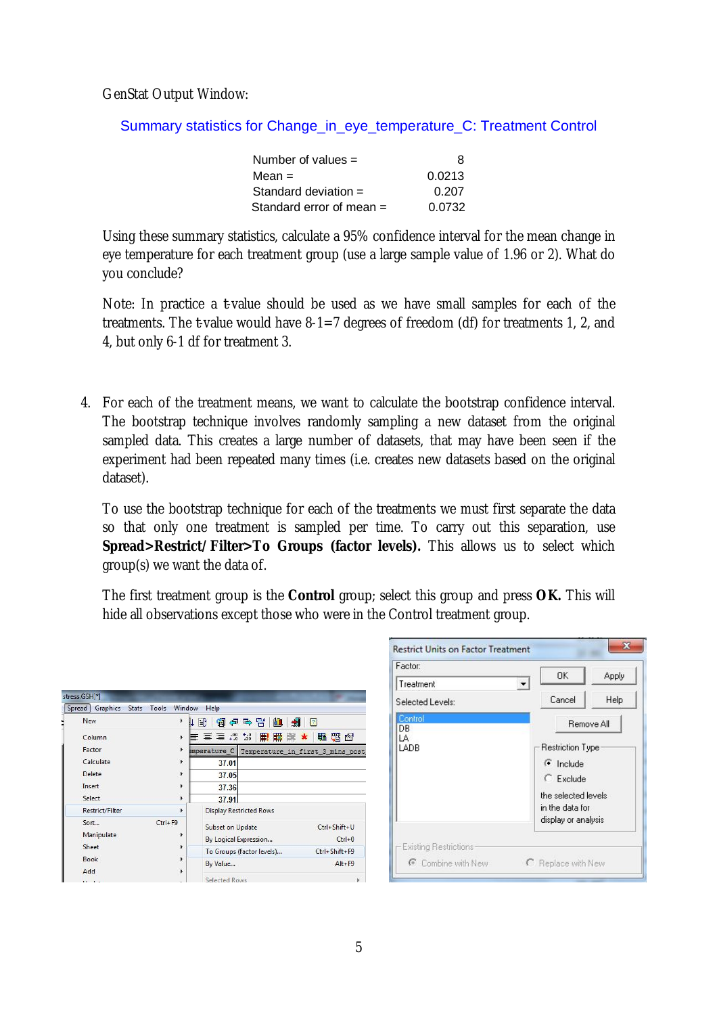GenStat Output Window:

Summary statistics for Change\_in\_eye\_temperature\_C: Treatment Control

| Number of values $=$     | 8      |
|--------------------------|--------|
| Mean $=$                 | 0.0213 |
| Standard deviation $=$   | 0.207  |
| Standard error of mean = | 0.0732 |

Using these summary statistics, calculate a 95% confidence interval for the mean change in eye temperature for each treatment group (use a large sample value of 1.96 or 2). What do you conclude?

Note: In practice a *t*-value should be used as we have small samples for each of the treatments. The *t*-value would have 8-1=7 degrees of freedom (df) for treatments 1, 2, and 4, but only 6-1 df for treatment 3.

4. For each of the treatment means, we want to calculate the bootstrap confidence interval. The bootstrap technique involves randomly sampling a new dataset from the original sampled data. This creates a large number of datasets, that may have been seen if the experiment had been repeated many times (i.e. creates new datasets based on the original dataset).

To use the bootstrap technique for each of the treatments we must first separate the data so that only one treatment is sampled per time. To carry out this separation, use **Spread>Restrict/Filter>To Groups (factor levels).** This allows us to select which group(s) we want the data of.

The first treatment group is the **Control** group; select this group and press **OK.** This will hide all observations except those who were in the Control treatment group.

| Graphics<br>Spread<br>Tools<br><b>Stats</b> | Window                | Help             |                                               |                       |
|---------------------------------------------|-----------------------|------------------|-----------------------------------------------|-----------------------|
| New                                         | Þ<br>訨                | 冊                | 仙<br>(開 伊 라 답 )<br>劃                          | $\vert$ <sup>2</sup>  |
| Column                                      | $\blacktriangleright$ | 블 틀 클 .;? *:?    | 罰<br>匿                                        | 騳<br>曙<br>图<br>$\ast$ |
| Factor                                      | $\blacktriangleright$ |                  | emperature C Temperature in first 3 mins post |                       |
| Calculate                                   | $\blacktriangleright$ | 37.01            |                                               |                       |
| Delete                                      | $\blacktriangleright$ | 37.05            |                                               |                       |
| Insert                                      | ٠                     | 37.36            |                                               |                       |
| Select                                      | r                     | 37.91            |                                               |                       |
| <b>Restrict/Filter</b>                      | Þ                     |                  | <b>Display Restricted Rows</b>                |                       |
| Sort                                        | $Ctrl + F9$           | Subset on Update |                                               | Ctrl+Shift+U          |
| Manipulate                                  |                       |                  | By Logical Expression                         | $Ctrl + 0$            |
| Sheet                                       | ٠                     |                  | To Groups (factor levels)                     | Ctrl+Shift+F9         |
| <b>Book</b>                                 |                       | By Value         |                                               | $Alt + F9$            |
| Add                                         |                       |                  |                                               |                       |
|                                             |                       | Selected Rows    |                                               |                       |

| Factor:                      | 0K                                     | Apply |
|------------------------------|----------------------------------------|-------|
| Treatment                    |                                        |       |
| Selected Levels:             | Cancel                                 | Help  |
| Control<br>DB.               | Remove All                             |       |
| LA<br>LADB                   |                                        |       |
|                              | Restriction Type                       |       |
|                              | $\epsilon$ Include                     |       |
|                              | $C$ Exclude                            |       |
|                              | the selected levels                    |       |
|                              | in the data for<br>display or analysis |       |
| <b>Existing Restrictions</b> |                                        |       |
| C Combine with New           | C Replace with New                     |       |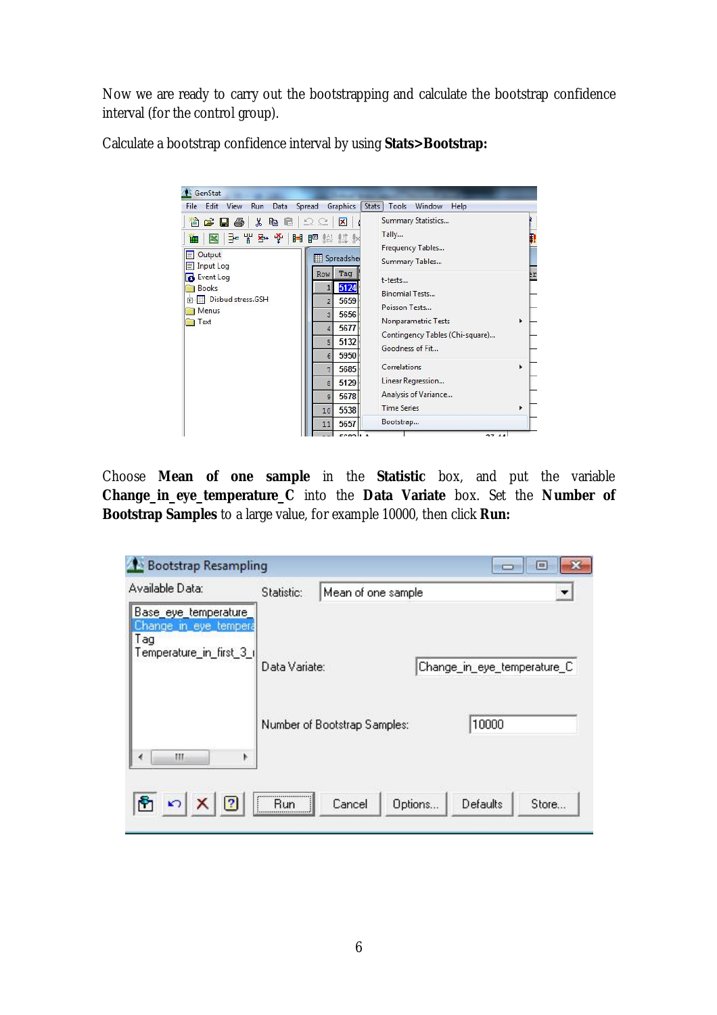Now we are ready to carry out the bootstrapping and calculate the bootstrap confidence interval (for the control group).

Calculate a bootstrap confidence interval by using **Stats>Bootstrap:**

| GenStat                                                                                                  |                                                                                                  |                                                                                                                                |         |
|----------------------------------------------------------------------------------------------------------|--------------------------------------------------------------------------------------------------|--------------------------------------------------------------------------------------------------------------------------------|---------|
| File Edit View<br>Run<br>Data<br>人名尼<br>省后日争<br>子半到单目 同期 数<br>K<br>瞴<br>Output<br>ΞΙ<br><b>Input Log</b> | Spread<br>Graphics<br>2C<br>×<br>Spreadsher<br>▦                                                 | Tools<br>Stats  <br>Window<br>Help<br>Summary Statistics<br>Tally<br>Frequency Tables<br>Summary Tables                        | n       |
| <b>Event Log</b><br><b>Books</b><br>Disbud stress.GSH<br>中.<br>Menus<br>Text                             | Tag<br>Row<br>5124<br>5659<br>$\overline{2}$<br>5656<br>3<br>5677<br>4<br>5132<br>5<br>5950<br>6 | t-tests<br><b>Binomial Tests</b><br>Poisson Tests<br>Nonparametric Tests<br>Contingency Tables (Chi-square)<br>Goodness of Fit | ₽r<br>¥ |
|                                                                                                          | 5685<br>7<br>5129<br>g.<br>5678<br>$\overline{9}$<br>5538<br>10<br>5657<br>11                    | Correlations<br>Linear Regression<br>Analysis of Variance<br><b>Time Series</b><br>Bootstrap                                   | r<br>r  |

Choose **Mean of one sample** in the **Statistic** box, and put the variable **Change\_in\_eye\_temperature\_C** into the **Data Variate** box. Set the **Number of Bootstrap Samples** to a large value, for example 10000, then click **Run:**

| <b>Bootstrap Resampling</b>                                       |                 |                              |         |                             | $\Box$ |
|-------------------------------------------------------------------|-----------------|------------------------------|---------|-----------------------------|--------|
| Available Data:<br>Base_eye_temperature_<br>Change_in_eye_tempera | Statistic:      | Mean of one sample           |         |                             |        |
| Tag<br>Temperature_in_first_3_i                                   | Data Variate:   |                              |         | Change_in_eye_temperature_C |        |
| Ш<br>₫                                                            |                 | Number of Bootstrap Samples: |         | 10000                       |        |
| 2                                                                 | $\vdots$<br>Run | Cancel                       | Options | Defaults                    | Store  |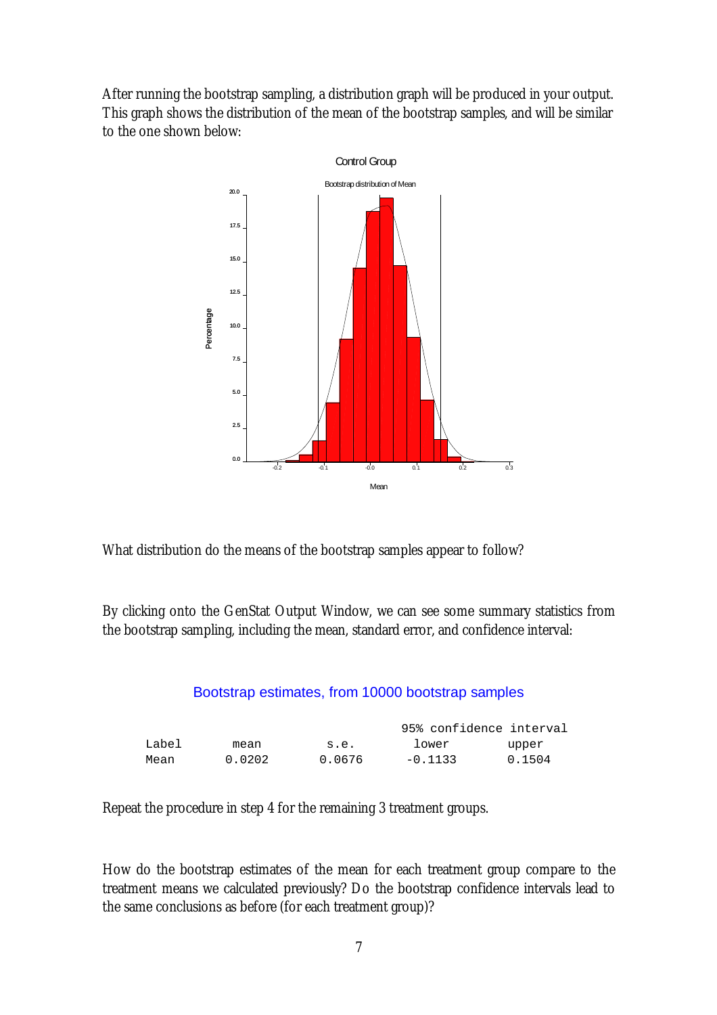After running the bootstrap sampling, a distribution graph will be produced in your output. This graph shows the distribution of the mean of the bootstrap samples, and will be similar to the one shown below:



What distribution do the means of the bootstrap samples appear to follow?

By clicking onto the GenStat Output Window, we can see some summary statistics from the bootstrap sampling, including the mean, standard error, and confidence interval:

### Bootstrap estimates, from 10000 bootstrap samples

|       |        |        |           | 95% confidence interval |
|-------|--------|--------|-----------|-------------------------|
| Label | mean   | s.e.   | lower     | upper                   |
| Mean  | 0.0202 | 0.0676 | $-0.1133$ | 0.1504                  |

Repeat the procedure in step 4 for the remaining 3 treatment groups.

How do the bootstrap estimates of the mean for each treatment group compare to the treatment means we calculated previously? Do the bootstrap confidence intervals lead to the same conclusions as before (for each treatment group)?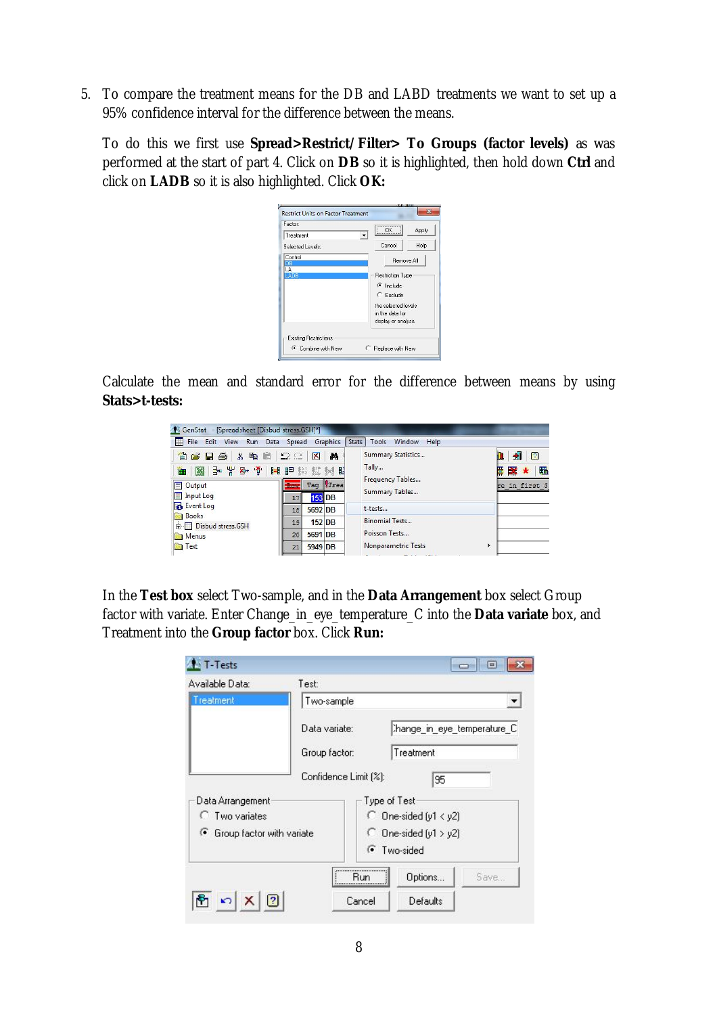5. To compare the treatment means for the DB and LABD treatments we want to set up a 95% confidence interval for the difference between the means.

To do this we first use **Spread>Restrict/Filter> To Groups (factor levels)** as was performed at the start of part 4. Click on **DB** so it is highlighted, then hold down **Ctrl** and click on **LADB** so it is also highlighted. Click **OK:**

| Factor:                      | 0K                      | Apply |
|------------------------------|-------------------------|-------|
| Treatment                    |                         |       |
| Selected Levels:             | Cancel                  | Help  |
| Control<br>DR                | Remove All              |       |
| LA                           |                         |       |
| LADB                         | <b>Restriction Type</b> |       |
|                              | $\epsilon$ Include      |       |
|                              | $C$ Exclude             |       |
|                              | the selected levels.    |       |
|                              | in the data for         |       |
|                              | display or analysis     |       |
|                              |                         |       |
| <b>Existing Restrictions</b> |                         |       |
| C Combine with New           | Replace with New        |       |

Calculate the mean and standard error for the difference between means by using **Stats>t-tests:**

| 囲<br>File Edit View<br>Run                                         | Data Spread                               | Graphics                |      | Tools<br><b>Stats</b><br>Window<br>Help |   |                                             |
|--------------------------------------------------------------------|-------------------------------------------|-------------------------|------|-----------------------------------------|---|---------------------------------------------|
| 首片日语<br>电电<br>$\frac{1}{20}$<br>I 카 팔 바 카 카 -<br>$\mathbb{R}$<br>而 | $\Omega \subseteq$<br><b>HIP 检 过 5d 眼</b> | $\overline{\mathbf{x}}$ | đф   | Summary Statistics<br>Tally             |   | ᆒ<br>$\boxed{2}$<br>黽<br>■ 尾 尾  <br>$\star$ |
| Output<br>EI.<br>Input Log<br>E                                    | <b>Row</b><br>17                          | Tag<br><b>153 DB</b>    | Trea | Frequency Tables<br>Summary Tables      |   | re in first 3                               |
| Event Log                                                          | 18                                        | 5692 DB                 |      | t-tests                                 |   |                                             |
| <b>Books</b><br><b>Fig. Disbud stress.GSH</b>                      | 19                                        | $152$ DB                |      | Binomial Tests                          |   |                                             |
| Menus                                                              | 20                                        | 5691 DB                 |      | Poisson Tests                           |   |                                             |
| <b>Text</b>                                                        | 21                                        | 5949 DB                 |      | Nonparametric Tests                     | Þ |                                             |

In the **Test box** select Two-sample, and in the **Data Arrangement** box select Group factor with variate. Enter Change\_in\_eye\_temperature\_C into the **Data variate** box, and Treatment into the **Group factor** box. Click **Run:**

| Available Data:             | Test:                 |                            |                            |      |  |  |
|-----------------------------|-----------------------|----------------------------|----------------------------|------|--|--|
| reatment                    |                       | Two-sample                 |                            |      |  |  |
|                             | Data variate:         |                            | hange_in_eye_temperature_C |      |  |  |
|                             | Group factor:         |                            | Treatment                  |      |  |  |
|                             | Confidence Limit [%]: |                            | 95                         |      |  |  |
| Data Arrangement            |                       |                            | Type of Test               |      |  |  |
| <b>C</b> Two variates       |                       |                            | $\cap$ One-sided (y1 < y2) |      |  |  |
| G Group factor with variate |                       | $\cap$ One-sided (y1 > y2) |                            |      |  |  |
|                             |                       |                            | <b>C</b> Two-sided         |      |  |  |
|                             |                       | <br>Run                    | Options                    | Save |  |  |
|                             |                       | Cancel                     | Defaults                   |      |  |  |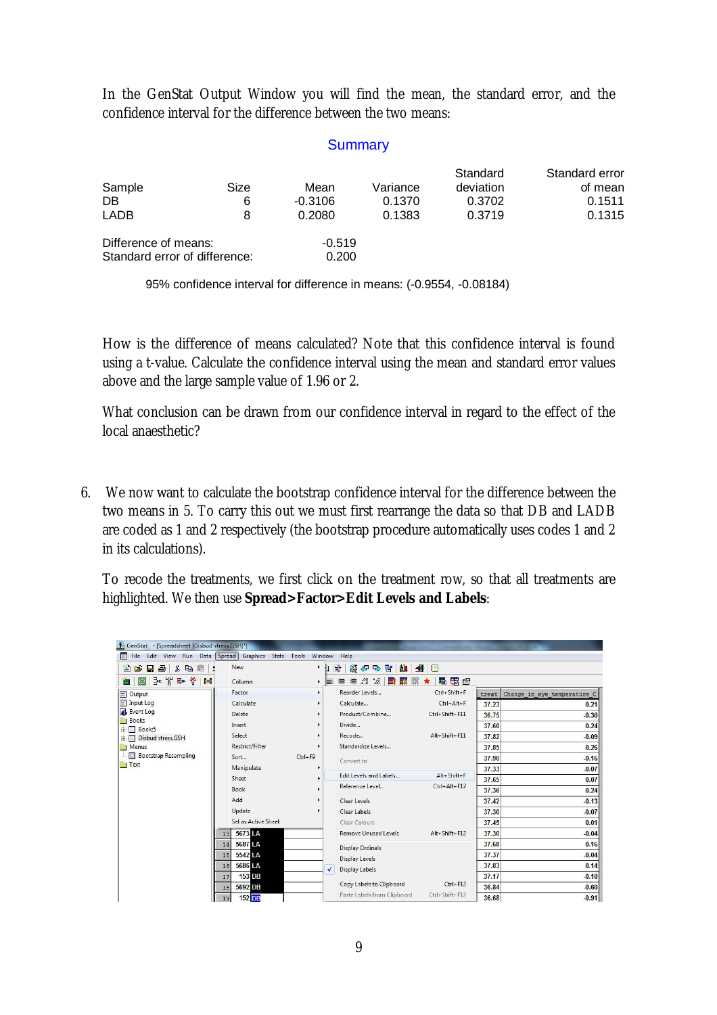In the GenStat Output Window you will find the mean, the standard error, and the confidence interval for the difference between the two means:

#### **Summary**

| Sample<br>DB<br><b>LADB</b>                           | Size<br>6<br>8 | Mean<br>$-0.3106$<br>0.2080 | Variance<br>0.1370<br>0.1383 | Standard<br>deviation<br>0.3702<br>0.3719 | Standard error<br>of mean<br>0.1511<br>0.1315 |
|-------------------------------------------------------|----------------|-----------------------------|------------------------------|-------------------------------------------|-----------------------------------------------|
| Difference of means:<br>Standard error of difference: |                | $-0.519$<br>0.200           |                              |                                           |                                               |

95% confidence interval for difference in means: (-0.9554, -0.08184)

How is the difference of means calculated? Note that this confidence interval is found using a t-value. Calculate the confidence interval using the mean and standard error values above and the large sample value of 1.96 or 2.

What conclusion can be drawn from our confidence interval in regard to the effect of the local anaesthetic?

6. We now want to calculate the bootstrap confidence interval for the difference between the two means in 5. To carry this out we must first rearrange the data so that DB and LADB are coded as 1 and 2 respectively (the bootstrap procedure automatically uses codes 1 and 2 in its calculations).

To recode the treatments, we first click on the treatment row, so that all treatments are highlighted. We then use **Spread>Factor>Edit Levels and Labels**:

| GenStat - [Spreadsheet [Disbud stress.GSH]*]<br>File Edit View Run Data Spread Graphics Stats Tools<br>囲 |                        |             | Window Help                                                      |                              |         |                             |
|----------------------------------------------------------------------------------------------------------|------------------------|-------------|------------------------------------------------------------------|------------------------------|---------|-----------------------------|
| 人心意<br>$\blacksquare$<br>僧<br>Ê                                                                          | New                    | Þ.          | ↓ 18<br>18<br><b>B' M</b><br>伊马                                  | $\blacksquare$<br>$\sqrt{2}$ |         |                             |
| <del>로</del> 뽑 라<br>Y.<br>$\mathbb{R}$<br>ℍ                                                              | Column                 |             | $\equiv$ $\equiv$ $\therefore$ $\approx$ $\approx$<br>■ 匿<br>▸ ᄐ | 雷图<br>職<br>BK.<br>$\star$    |         |                             |
| F<br>Output                                                                                              | Factor                 |             | Reorder Levels                                                   | Ctrl+Shift+F                 | treat   | Change_in_eye_temperature_C |
| $E$ Input Log                                                                                            | Calculate              |             | Calculate                                                        | $Ctrl + Alt + F$             | 37.23   | 0.21                        |
| Event Log                                                                                                | Delete                 |             | Product/Combine                                                  | Ctrl+Shift+F11               | 36.75   | $-0.30$                     |
| <b>Books</b><br>F-Book:5                                                                                 | Insert                 |             | Divide                                                           |                              | 37.60   | 0.24                        |
| 中国<br>Disbud stress.GSH                                                                                  | Select                 |             | Recode                                                           | Alt+Shift+F11                | 37.82   | $-0.09$                     |
| Menus                                                                                                    | <b>Restrict/Filter</b> |             | Standardize Levels                                               |                              | 37.85   | 0.26                        |
| <b>Bootstrap Resampling</b>                                                                              | Sort                   | $Ctrl + F9$ | Convert to                                                       |                              | 37.90   | $-0.16$                     |
| <b>Text</b><br>Manipulate                                                                                |                        |             |                                                                  | 37.33                        | $-0.07$ |                             |
|                                                                                                          | Sheet                  |             | Edit Levels and Labels                                           | $Alt + Shift + F$            | 37.65   | 0.07                        |
|                                                                                                          | Book                   |             | Reference Level                                                  | Ctrl+Alt+F12                 | 37.36   | 0.24                        |
|                                                                                                          | Add                    |             | Clear Levels                                                     |                              | 37.42   | $-0.13$                     |
|                                                                                                          | Update                 |             | Clear Labels                                                     |                              | 37.30   | $-0.07$                     |
|                                                                                                          | Set as Active Sheet    |             | Clear Colours                                                    |                              | 37.45   | 0.01                        |
|                                                                                                          | 5673 LA<br>13          |             | <b>Remove Unused Levels</b>                                      | Alt+Shift+F12                | 37.30   | $-0.04$                     |
|                                                                                                          | 5687 LA<br>14          |             |                                                                  |                              | 37.68   | 0.16                        |
|                                                                                                          | 5542 LA<br>15          |             | <b>Display Ordinals</b>                                          |                              | 37.37   | $-0.04$                     |
|                                                                                                          | 5686 LA<br>16          |             | Display Levels                                                   |                              | 37.83   | 0.14                        |
|                                                                                                          | 153 DB<br>17           |             | Display Labels<br>✓                                              |                              | 37.17   | $-0.10$                     |
|                                                                                                          | 5692 DB<br>18          |             | Copy Labels to Clipboard                                         | $Ctrl + F12$                 | 36.84   | $-0.60$                     |
|                                                                                                          | $152$ DB<br>19         |             | Paste Labels from Clipboard                                      | Ctrl+Shift+F12               | 36.68   | $-0.91$                     |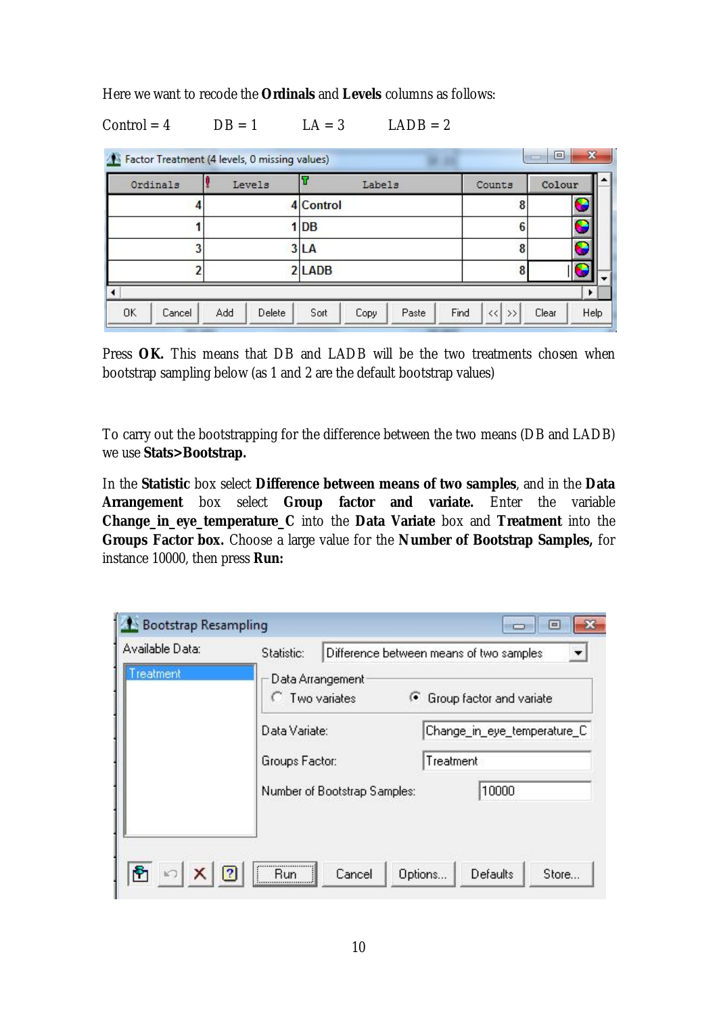Here we want to recode the **Ordinals** and **Levels** columns as follows:

## $Control = 4$   $DB = 1$   $LA = 3$   $LADB = 2$

| Ordinals | Levels |           | Labels |  | Counts | Colour |   |
|----------|--------|-----------|--------|--|--------|--------|---|
|          |        | 4 Control |        |  |        |        |   |
|          |        | 1 DB      |        |  |        |        | ٠ |
|          |        | 3 LA      |        |  |        |        | T |
|          |        | 2 LADB    |        |  |        |        |   |
|          |        |           |        |  |        |        |   |

Press **OK.** This means that DB and LADB will be the two treatments chosen when bootstrap sampling below (as 1 and 2 are the default bootstrap values)

To carry out the bootstrapping for the difference between the two means (DB and LADB) we use **Stats>Bootstrap.** 

In the **Statistic** box select **Difference between means of two samples**, and in the **Data Arrangement** box select **Group factor and variate.** Enter the variable **Change\_in\_eye\_temperature\_C** into the **Data Variate** box and **Treatment** into the **Groups Factor box.** Choose a large value for the **Number of Bootstrap Samples,** for instance 10000, then press **Run:**

| Treatment<br>Data Arrangement<br>Two variates<br>G Group factor and variate<br>Data Variate:<br>Change_in_eye_temperature_C<br>Treatment<br>Groups Factor:<br>10000<br>Number of Bootstrap Samples: |  |
|-----------------------------------------------------------------------------------------------------------------------------------------------------------------------------------------------------|--|
|                                                                                                                                                                                                     |  |
|                                                                                                                                                                                                     |  |
|                                                                                                                                                                                                     |  |
|                                                                                                                                                                                                     |  |